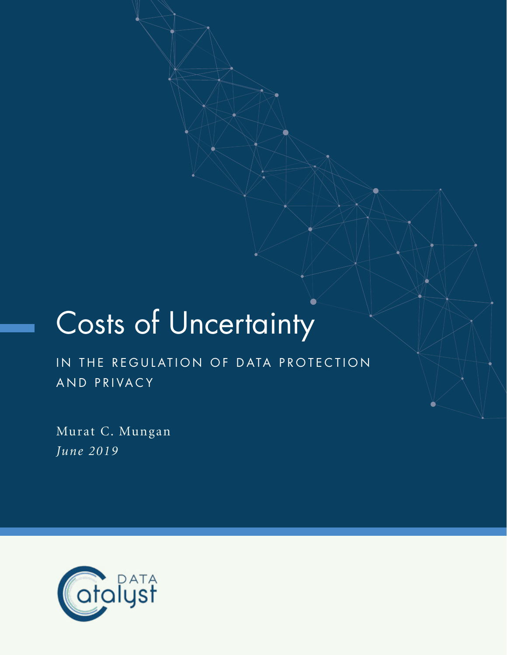# Costs of Uncertainty

IN THE REGULATION OF DATA PROTECTION AND PRIVACY

Murat C. Mungan *June 2019*

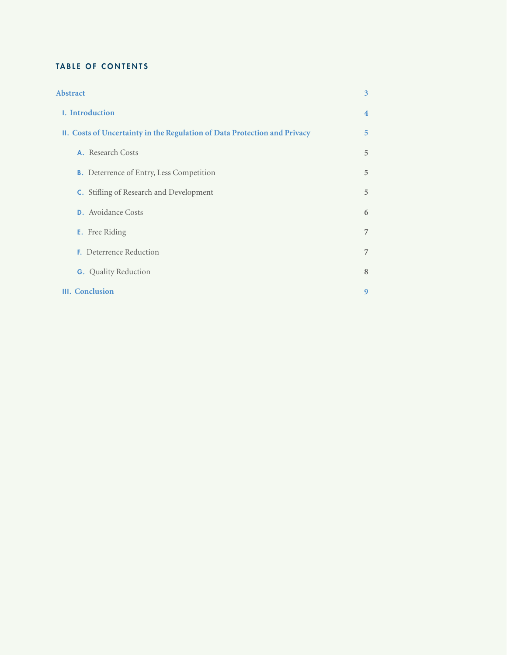# TABLE OF CONTENTS

| <b>Abstract</b>                                                           | 3              |
|---------------------------------------------------------------------------|----------------|
| 1. Introduction                                                           | $\overline{4}$ |
| II. Costs of Uncertainty in the Regulation of Data Protection and Privacy | 5              |
| A. Research Costs                                                         | 5              |
| <b>B.</b> Deterrence of Entry, Less Competition                           | 5              |
| <b>C.</b> Stifling of Research and Development                            | 5              |
| <b>D.</b> Avoidance Costs                                                 | 6              |
| <b>E.</b> Free Riding                                                     | $\overline{7}$ |
| <b>F.</b> Deterrence Reduction                                            | $\overline{7}$ |
| <b>G.</b> Quality Reduction                                               | 8              |
| III. Conclusion                                                           | 9              |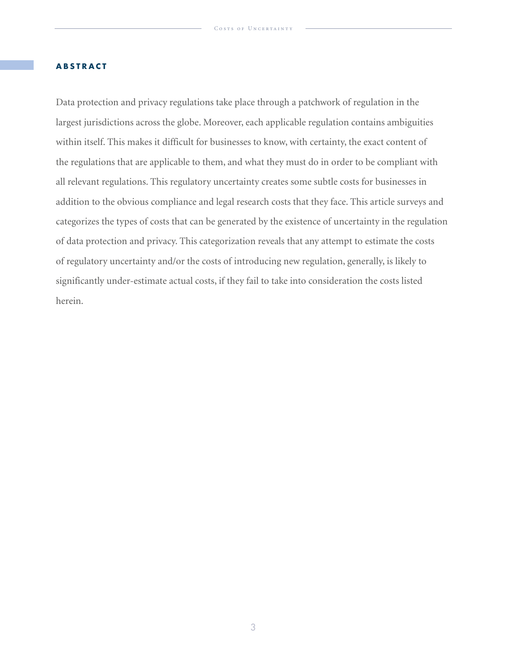## **ABSTRACT**

Data protection and privacy regulations take place through a patchwork of regulation in the largest jurisdictions across the globe. Moreover, each applicable regulation contains ambiguities within itself. This makes it difficult for businesses to know, with certainty, the exact content of the regulations that are applicable to them, and what they must do in order to be compliant with all relevant regulations. This regulatory uncertainty creates some subtle costs for businesses in addition to the obvious compliance and legal research costs that they face. This article surveys and categorizes the types of costs that can be generated by the existence of uncertainty in the regulation of data protection and privacy. This categorization reveals that any attempt to estimate the costs of regulatory uncertainty and/or the costs of introducing new regulation, generally, is likely to significantly under-estimate actual costs, if they fail to take into consideration the costs listed herein.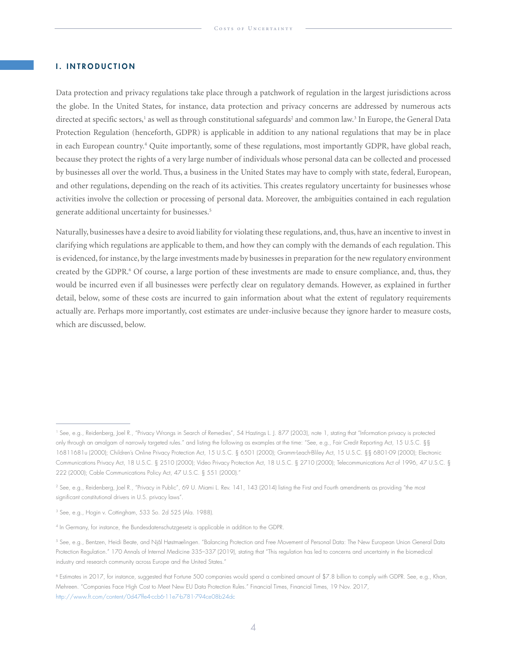## **I. INTRODUCTION**

Data protection and privacy regulations take place through a patchwork of regulation in the largest jurisdictions across the globe. In the United States, for instance, data protection and privacy concerns are addressed by numerous acts directed at specific sectors,<sup>1</sup> as well as through constitutional safeguards<sup>2</sup> and common law.<sup>3</sup> In Europe, the General Data Protection Regulation (henceforth, GDPR) is applicable in addition to any national regulations that may be in place in each European country.4 Quite importantly, some of these regulations, most importantly GDPR, have global reach, because they protect the rights of a very large number of individuals whose personal data can be collected and processed by businesses all over the world. Thus, a business in the United States may have to comply with state, federal, European, and other regulations, depending on the reach of its activities. This creates regulatory uncertainty for businesses whose activities involve the collection or processing of personal data. Moreover, the ambiguities contained in each regulation generate additional uncertainty for businesses.<sup>5</sup>

Naturally, businesses have a desire to avoid liability for violating these regulations, and, thus, have an incentive to invest in clarifying which regulations are applicable to them, and how they can comply with the demands of each regulation. This is evidenced, for instance, by the large investments made by businesses in preparation for the new regulatory environment created by the GDPR.<sup>6</sup> Of course, a large portion of these investments are made to ensure compliance, and, thus, they would be incurred even if all businesses were perfectly clear on regulatory demands. However, as explained in further detail, below, some of these costs are incurred to gain information about what the extent of regulatory requirements actually are. Perhaps more importantly, cost estimates are under-inclusive because they ignore harder to measure costs, which are discussed, below.

<sup>1</sup> See, e.g., Reidenberg, Joel R., "Privacy Wrongs in Search of Remedies", 54 Hastings L. J. 877 (2003), note 1, stating that "Information privacy is protected only through an amalgam of narrowly targeted rules." and listing the following as examples at the time: "See, e.g., Fair Credit Reporting Act, 15 U.S.C. §§ 16811681u (2000); Children's Online Privacy Protection Act, 15 U.S.C. § 6501 (2000); Gramm-Leach-Bliley Act, 15 U.S.C. §§ 6801-09 (2000); Electronic Communications Privacy Act, 18 U.S.C. § 2510 (2000); Video Privacy Protection Act, 18 U.S.C. § 2710 (2000); Telecommunications Act of 1996, 47 U.S.C. § 222 (2000); Cable Communications Policy Act, 47 U.S.C. § 551 (2000)."

<sup>&</sup>lt;sup>2</sup> See, e.g., Reidenberg, Joel R., "Privacy in Public", 69 U. Miami L. Rev. 141, 143 (2014) listing the First and Fourth amendments as providing "the most significant constitutional drivers in U.S. privacy laws".

<sup>3</sup> See, e.g., Hogin v. Cottingham, 533 So. 2d 525 (Ala. 1988).

<sup>4</sup> In Germany, for instance, the Bundesdatenschutzgesetz is applicable in addition to the GDPR.

<sup>5</sup> See, e.g., Bentzen, Heidi Beate, and Njål Høstmælingen. "Balancing Protection and Free Movement of Personal Data: The New European Union General Data Protection Regulation." 170 Annals of Internal Medicine 335–337 (2019), stating that "This regulation has led to concerns and uncertainty in the biomedical industry and research community across Europe and the United States."

<sup>6</sup> Estimates in 2017, for instance, suggested that Fortune 500 companies would spend a combined amount of \$7.8 billion to comply with GDPR. See, e.g., Khan, Mehreen. "Companies Face High Cost to Meet New EU Data Protection Rules." Financial Times, Financial Times, 19 Nov. 2017, http://www.ft.com/content/0d47ffe4-ccb6-11e7-b781-794ce08b24dc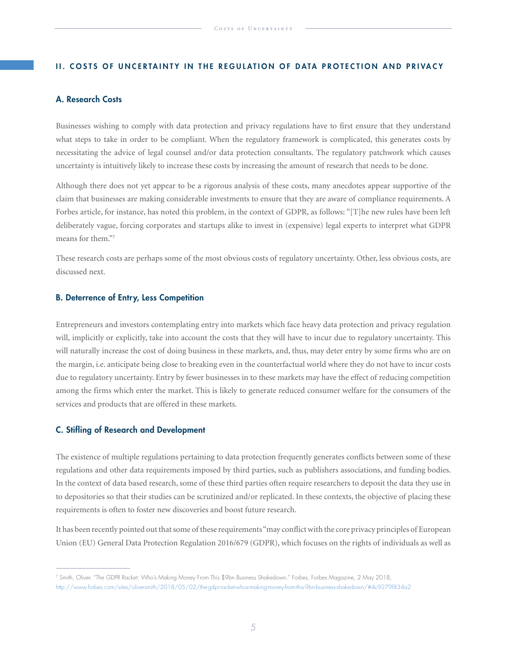#### II. COSTS OF UNCERTAINTY IN THE REGULATION OF DATA PROTECTION AND PRIVACY

# A. Research Costs

Businesses wishing to comply with data protection and privacy regulations have to first ensure that they understand what steps to take in order to be compliant. When the regulatory framework is complicated, this generates costs by necessitating the advice of legal counsel and/or data protection consultants. The regulatory patchwork which causes uncertainty is intuitively likely to increase these costs by increasing the amount of research that needs to be done.

Although there does not yet appear to be a rigorous analysis of these costs, many anecdotes appear supportive of the claim that businesses are making considerable investments to ensure that they are aware of compliance requirements. A Forbes article, for instance, has noted this problem, in the context of GDPR, as follows: "[T]he new rules have been left deliberately vague, forcing corporates and startups alike to invest in (expensive) legal experts to interpret what GDPR means for them."7

These research costs are perhaps some of the most obvious costs of regulatory uncertainty. Other, less obvious costs, are discussed next.

## B. Deterrence of Entry, Less Competition

Entrepreneurs and investors contemplating entry into markets which face heavy data protection and privacy regulation will, implicitly or explicitly, take into account the costs that they will have to incur due to regulatory uncertainty. This will naturally increase the cost of doing business in these markets, and, thus, may deter entry by some firms who are on the margin, i.e. anticipate being close to breaking even in the counterfactual world where they do not have to incur costs due to regulatory uncertainty. Entry by fewer businesses in to these markets may have the effect of reducing competition among the firms which enter the market. This is likely to generate reduced consumer welfare for the consumers of the services and products that are offered in these markets.

### C. Stifling of Research and Development

The existence of multiple regulations pertaining to data protection frequently generates conflicts between some of these regulations and other data requirements imposed by third parties, such as publishers associations, and funding bodies. In the context of data based research, some of these third parties often require researchers to deposit the data they use in to depositories so that their studies can be scrutinized and/or replicated. In these contexts, the objective of placing these requirements is often to foster new discoveries and boost future research.

It has been recently pointed out that some of these requirements "may conflict with the core privacy principles of European Union (EU) General Data Protection Regulation 2016/679 (GDPR), which focuses on the rights of individuals as well as

<sup>7</sup> Smith, Oliver. "The GDPR Racket: Who's Making Money From This \$9bn Business Shakedown." Forbes, Forbes Magazine, 2 May 2018, http://www.forbes.com/sites/oliversmith/2018/05/02/the-gdpr-racket-whos-making-money-from-this-9bn-business-shakedown/#4c9279f834a2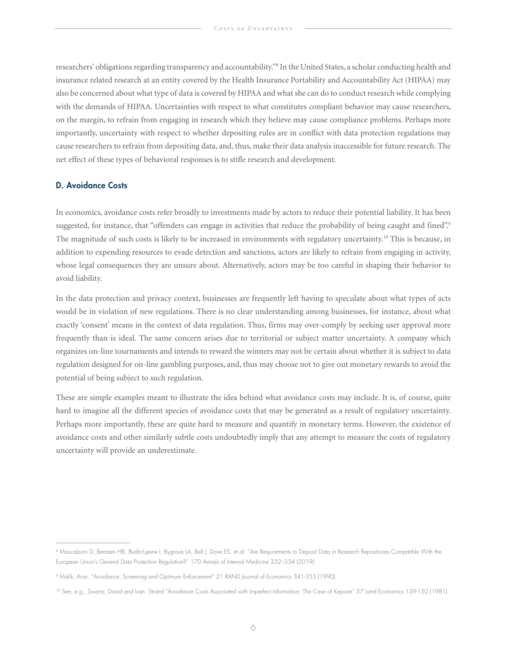researchers' obligations regarding transparency and accountability."8 In the United States, a scholar conducting health and insurance related research at an entity covered by the Health Insurance Portability and Accountability Act (HIPAA) may also be concerned about what type of data is covered by HIPAA and what she can do to conduct research while complying with the demands of HIPAA. Uncertainties with respect to what constitutes compliant behavior may cause researchers, on the margin, to refrain from engaging in research which they believe may cause compliance problems. Perhaps more importantly, uncertainty with respect to whether depositing rules are in conflict with data protection regulations may cause researchers to refrain from depositing data, and, thus, make their data analysis inaccessible for future research. The net effect of these types of behavioral responses is to stifle research and development.

#### D. Avoidance Costs

In economics, avoidance costs refer broadly to investments made by actors to reduce their potential liability. It has been suggested, for instance, that "offenders can engage in activities that reduce the probability of being caught and fined".<sup>9</sup> The magnitude of such costs is likely to be increased in environments with regulatory uncertainty.<sup>10</sup> This is because, in addition to expending resources to evade detection and sanctions, actors are likely to refrain from engaging in activity, whose legal consequences they are unsure about. Alternatively, actors may be too careful in shaping their behavior to avoid liability.

In the data protection and privacy context, businesses are frequently left having to speculate about what types of acts would be in violation of new regulations. There is no clear understanding among businesses, for instance, about what exactly 'consent' means in the context of data regulation. Thus, firms may over-comply by seeking user approval more frequently than is ideal. The same concern arises due to territorial or subject matter uncertainty. A company which organizes on-line tournaments and intends to reward the winners may not be certain about whether it is subject to data regulation designed for on-line gambling purposes, and, thus may choose not to give out monetary rewards to avoid the potential of being subject to such regulation.

These are simple examples meant to illustrate the idea behind what avoidance costs may include. It is, of course, quite hard to imagine all the different species of avoidance costs that may be generated as a result of regulatory uncertainty. Perhaps more importantly, these are quite hard to measure and quantify in monetary terms. However, the existence of avoidance costs and other similarly subtle costs undoubtedly imply that any attempt to measure the costs of regulatory uncertainty will provide an underestimate.

<sup>&</sup>lt;sup>8</sup> Mascalzoni D, Bentzen HB, Budin-Ljøsne I, Bygrave LA, Bell J, Dove ES, et al. "Are Requirements to Deposit Data in Research Repositories Compatible With the European Union's General Data Protection Regulation?" 170 Annals of Internal Medicine 332–334 (2019).

<sup>9</sup> Malik, Arun. "Avoidance, Screening and Optimum Enforcement" 21 RAND Journal of Economics 341-353 (1990).

<sup>&</sup>lt;sup>10</sup> See, e.g., Swartz, David and Ivan. Strand "Avoidance Costs Associated with Imperfect Information: The Case of Kepone" 57 Land Economics 139-150 (1981).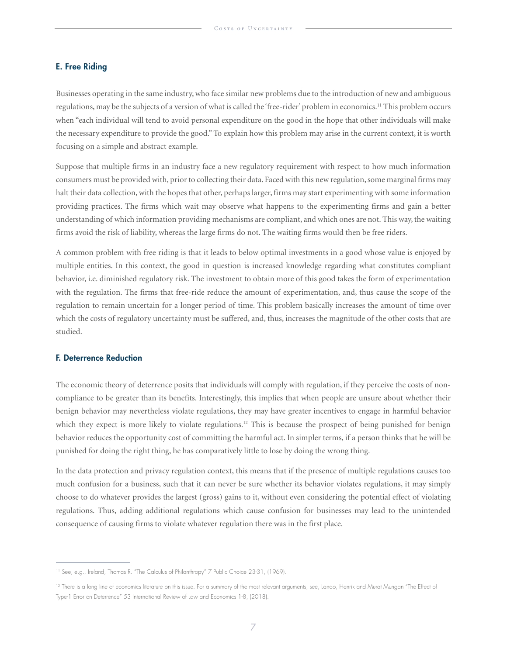## E. Free Riding

Businesses operating in the same industry, who face similar new problems due to the introduction of new and ambiguous regulations, may be the subjects of a version of what is called the 'free-rider' problem in economics.11 This problem occurs when "each individual will tend to avoid personal expenditure on the good in the hope that other individuals will make the necessary expenditure to provide the good." To explain how this problem may arise in the current context, it is worth focusing on a simple and abstract example.

Suppose that multiple firms in an industry face a new regulatory requirement with respect to how much information consumers must be provided with, prior to collecting their data. Faced with this new regulation, some marginal firms may halt their data collection, with the hopes that other, perhaps larger, firms may start experimenting with some information providing practices. The firms which wait may observe what happens to the experimenting firms and gain a better understanding of which information providing mechanisms are compliant, and which ones are not. This way, the waiting firms avoid the risk of liability, whereas the large firms do not. The waiting firms would then be free riders.

A common problem with free riding is that it leads to below optimal investments in a good whose value is enjoyed by multiple entities. In this context, the good in question is increased knowledge regarding what constitutes compliant behavior, i.e. diminished regulatory risk. The investment to obtain more of this good takes the form of experimentation with the regulation. The firms that free-ride reduce the amount of experimentation, and, thus cause the scope of the regulation to remain uncertain for a longer period of time. This problem basically increases the amount of time over which the costs of regulatory uncertainty must be suffered, and, thus, increases the magnitude of the other costs that are studied.

#### F. Deterrence Reduction

The economic theory of deterrence posits that individuals will comply with regulation, if they perceive the costs of noncompliance to be greater than its benefits. Interestingly, this implies that when people are unsure about whether their benign behavior may nevertheless violate regulations, they may have greater incentives to engage in harmful behavior which they expect is more likely to violate regulations.<sup>12</sup> This is because the prospect of being punished for benign behavior reduces the opportunity cost of committing the harmful act. In simpler terms, if a person thinks that he will be punished for doing the right thing, he has comparatively little to lose by doing the wrong thing.

In the data protection and privacy regulation context, this means that if the presence of multiple regulations causes too much confusion for a business, such that it can never be sure whether its behavior violates regulations, it may simply choose to do whatever provides the largest (gross) gains to it, without even considering the potential effect of violating regulations. Thus, adding additional regulations which cause confusion for businesses may lead to the unintended consequence of causing firms to violate whatever regulation there was in the first place.

<sup>&</sup>lt;sup>11</sup> See, e.g., Ireland, Thomas R. "The Calculus of Philanthropy" 7 Public Choice 23-31, (1969).

<sup>&</sup>lt;sup>12</sup> There is a long line of economics literature on this issue. For a summary of the most relevant arguments, see, Lando, Henrik and Murat Mungan "The Effect of Type-1 Error on Deterrence" 53 International Review of Law and Economics 1-8, (2018).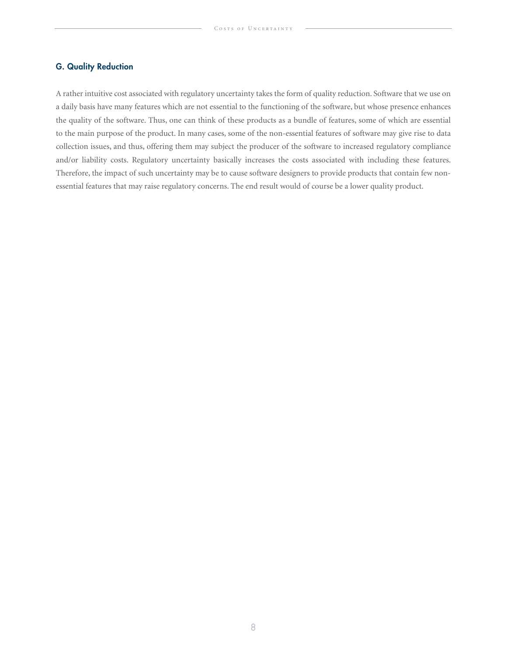# G. Quality Reduction

A rather intuitive cost associated with regulatory uncertainty takes the form of quality reduction. Software that we use on a daily basis have many features which are not essential to the functioning of the software, but whose presence enhances the quality of the software. Thus, one can think of these products as a bundle of features, some of which are essential to the main purpose of the product. In many cases, some of the non-essential features of software may give rise to data collection issues, and thus, offering them may subject the producer of the software to increased regulatory compliance and/or liability costs. Regulatory uncertainty basically increases the costs associated with including these features. Therefore, the impact of such uncertainty may be to cause software designers to provide products that contain few nonessential features that may raise regulatory concerns. The end result would of course be a lower quality product.